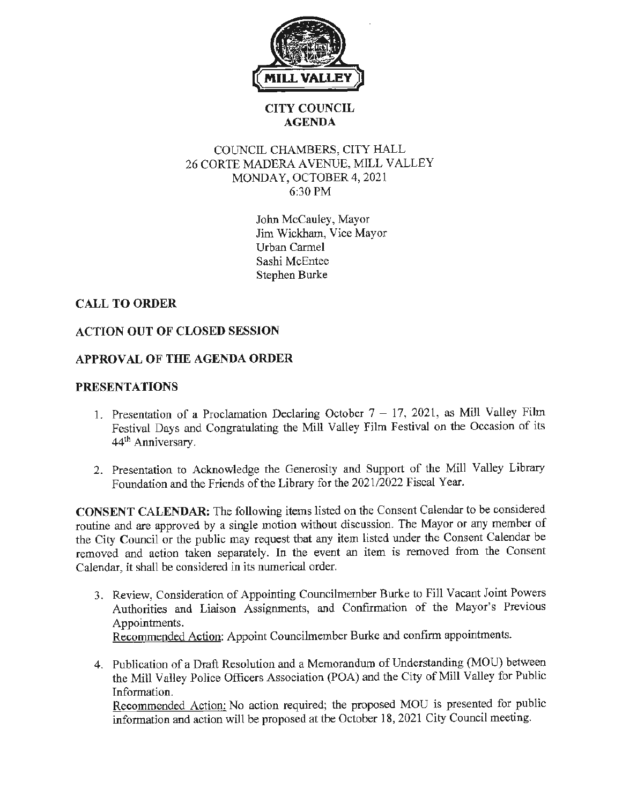

### **CITY COUNCIL AGENDA**

### COUNCIL CHAMBERS, CITY HALL 26 CORTE MADERA A VENUE, MILL VALLEY MONDAY, OCTOBER 4, 2021 6:30PM

John McCauley, Mayor Jim Wickham, Vice Mayor Urban Carmel Sashi McEntee Stephen Burke

# **CALL TO ORDER**

## **ACTION OUT OF CLOSED SESSION**

## **APPROVAL OF THE AGENDA ORDER**

#### **PRESENTATIONS**

- 1. Presentation of a Proclamation Declaring October  $7 17$ , 2021, as Mill Valley Film Festival Days and Congratulating the Mill Valley Film Festival on the Occasion of its 44<sup>th</sup> Anniversary.
- 2. Presentation to Acknowledge the Generosity and Support of the Mill Valley Library Foundation and the Friends of the Library for the 2021/2022 Fiscal Year.

**CONSENT CALENDAR:** The following items listed on the Consent Calendar to be considered routine and are approved by a single motion without discussion. The Mayor or any member of the City Council or the public may request that any item listed under the Consent Calendar be removed and action taken separately. In the event an item is removed from the Consent Calendar, it shall be considered **in** its numerical order.

- 3. Review, Consideration of Appointing Councilmember Burke to Fill Vacant Joint Powers Authorities and Liaison Assignments, and Confirmation of the Mayor's Previous Appointments. Recommended Action: Appoint Councilmember Burke and confirm appointments.
- 4. Publication of a Draft Resolution and a Memorandum of Understanding (MOU) between the Mill Valley Police Officers Association (POA) and the City of Mill Valley for Public Information.

Recommended Action: No action required; the proposed MOU is presented for public information and action will be proposed at the October 18, 2021 City Council meeting.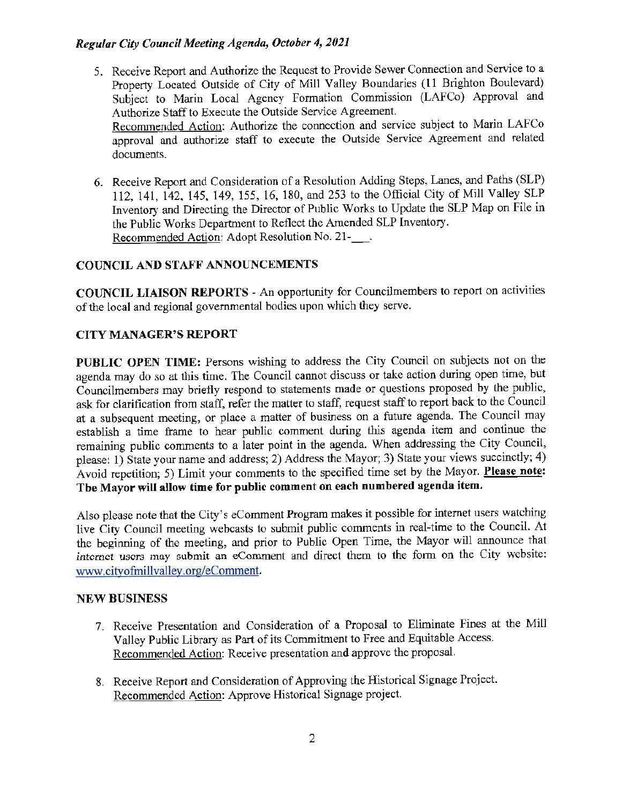#### *Regular City Council Meeting Agenda, October 4, 2021*

5. Receive Report and Authorize the Request to Provide Sewer Connection and Service to a Property Located Outside of City of Mill Valley Boundaries **(11** Brighton Boulevard) Subject to Marin Local Agency Formation Commission (LAFCo) Approval and Authorize Staff to Execute the Outside Service Agreement. Recommended Action: Authorize the connection and service subject to Marin LAFCo

approval and authorize staff to execute the Outside Service Agreement and related documents.

6. Receive Report and Consideration of a Resolution Adding Steps, Lanes, and Paths (SLP) 112, 141, 142, 145, 149, 155, 16, 180, and 253 to the Official City of Mill Valley SLP Inventory and Directing the Director of Public Works to Update the SLP Map on File in the Public Works Department to Reflect the Amended SLP Inventory. Recommended Action: Adopt Resolution No. 21-\_ .

#### **COUNCIL AND STAFF ANNOUNCEMENTS**

**COUNCIL LIAISON REPORTS** - An opportunity for Councilmembers to report on activities of the local and regional governmental bodies upon which they serve.

#### **CITY MANAGER'S REPORT**

PUBLIC OPEN TIME: Persons wishing to address the City Council on subjects not on the agenda may do so at this time. The Council cannot discuss or take action during open time, but Councilmembers may briefly respond to statements made or questions proposed by the public, ask for clarification from staff, refer the matter to staff, request staff to report back to the Council at a subsequent meeting, or place a matter of business on a future agenda. The Council may establish a time frame to hear public comment during this agenda item and continue the remaining public comments to a later point in the agenda. When addressing the City Council, please: 1) State your name and address; 2) Address the Mayor; 3) State your views succinctly; 4) A void repetition; 5) Limit your comments to the specified time set by the Mayor. **Please note: The Mayor will allow time for public comment on each numbered agenda item.** 

Also please note that the City's eComment Program makes it possible for intemet users watching live City Council meeting webcasts to submit public comments in real-time to the Council. At the beginning of the meeting, and prior to Public Open Time, the Mayor will announce that internet users may submit an eComment and direct them to the form on the City website: www.cityofmillvalley.org/eComment.

#### **NEW BUSINESS**

- 7. Receive Presentation and Consideration of a Proposal to Eliminate Fines at the Mill Valley Public Library as Part of its Commitment to Free and Equitable Access. Recommended Action: Receive presentation and approve the proposal.
- 8. Receive Report and Consideration of Approving the Historical Signage Project. Recommended Action: Approve Historical Signage project.